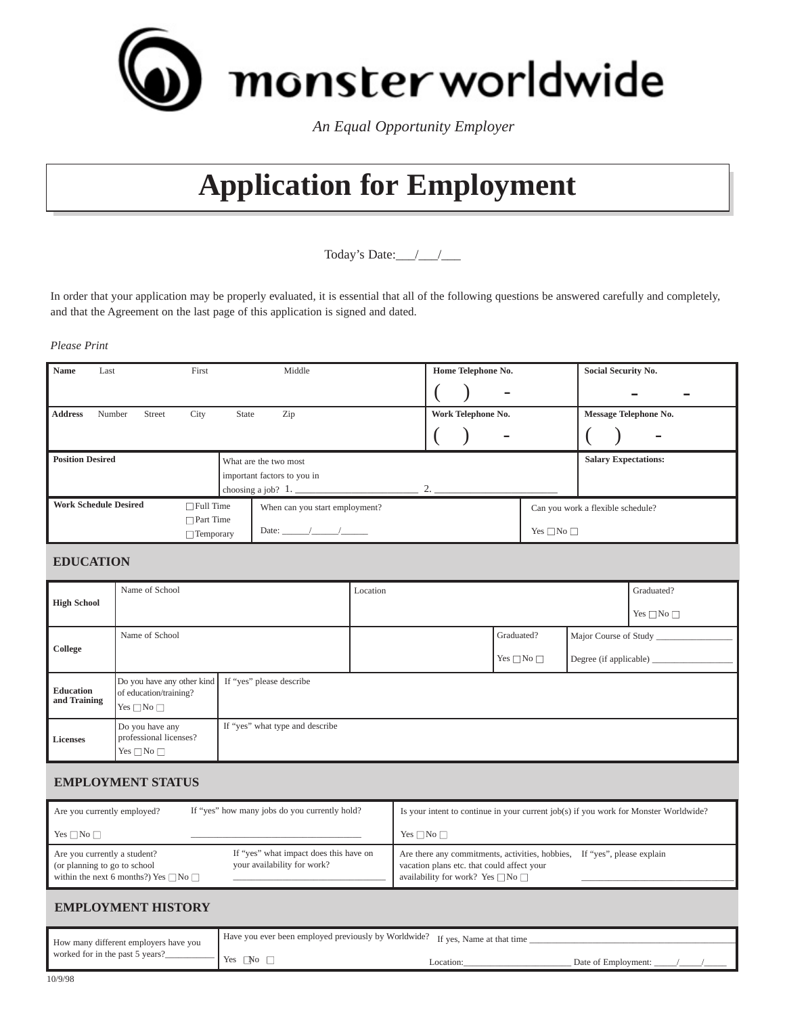

*An Equal Opportunity Employer*

# **Application for Employment**

Today's Date:  $\frac{1}{2}$ 

In order that your application may be properly evaluated, it is essential that all of the following questions be answered carefully and completely, and that the Agreement on the last page of this application is signed and dated.

#### *Please Print*

| <b>Name</b>             | Last                         |        | First            |       | Middle                         | Home Telephone No. |                          |                                   | Social Security No.          |   |  |
|-------------------------|------------------------------|--------|------------------|-------|--------------------------------|--------------------|--------------------------|-----------------------------------|------------------------------|---|--|
|                         |                              |        |                  |       |                                |                    | $\overline{\phantom{a}}$ |                                   |                              |   |  |
| <b>Address</b>          | Number                       | Street | City             | State | Zip                            | Work Telephone No. |                          |                                   | <b>Message Telephone No.</b> |   |  |
|                         |                              |        |                  |       |                                |                    |                          |                                   |                              | - |  |
|                         |                              |        |                  |       |                                |                    |                          |                                   |                              |   |  |
| <b>Position Desired</b> |                              |        |                  |       | What are the two most          |                    |                          |                                   | <b>Salary Expectations:</b>  |   |  |
|                         |                              |        |                  |       | important factors to you in    |                    |                          |                                   |                              |   |  |
|                         |                              |        |                  |       |                                | 2.                 |                          |                                   |                              |   |  |
|                         | <b>Work Schedule Desired</b> |        | $\Box$ Full Time |       | When can you start employment? |                    |                          | Can you work a flexible schedule? |                              |   |  |
|                         |                              |        | $\Box$ Part Time |       | Date: $/$ /                    |                    |                          | Yes $\square$ No $\square$        |                              |   |  |

#### **EDUCATION**

|                           | Name of School                                                                                                 |                                 | Location                   |                            |                        | Graduated? |
|---------------------------|----------------------------------------------------------------------------------------------------------------|---------------------------------|----------------------------|----------------------------|------------------------|------------|
| <b>High School</b>        |                                                                                                                |                                 | Yes $\square$ No $\square$ |                            |                        |            |
|                           | Name of School                                                                                                 |                                 |                            | Graduated?                 | Major Course of Study  |            |
| College                   |                                                                                                                |                                 |                            | Yes $\square$ No $\square$ | Degree (if applicable) |            |
| Education<br>and Training | If "yes" please describe<br>Do you have any other kind<br>of education/training?<br>Yes $\square$ No $\square$ |                                 |                            |                            |                        |            |
| Licenses                  | Do you have any<br>professional licenses?<br>$Yes \Box No \Box$                                                | If "yes" what type and describe |                            |                            |                        |            |

# **EMPLOYMENT STATUS**

| Are you currently employed?                                                                                            | If "yes" how many jobs do you currently hold?                         | Is your intent to continue in your current job(s) if you work for Monster Worldwide?                                                                                           |
|------------------------------------------------------------------------------------------------------------------------|-----------------------------------------------------------------------|--------------------------------------------------------------------------------------------------------------------------------------------------------------------------------|
| $Yes \Box No \Box$                                                                                                     |                                                                       | $Yes \Box No \Box$                                                                                                                                                             |
| Are you currently a student?<br>(or planning to go to school)<br>within the next 6 months?) Yes $\square$ No $\square$ | If "yes" what impact does this have on<br>your availability for work? | Are there any commitments, activities, hobbies,<br>If "yes", please explain<br>vacation plans etc. that could affect your<br>availability for work? Yes $\square$ No $\square$ |

# **EMPLOYMENT HISTORY**

| How many different employers have you | Have you ever been employed previously by Worldwide? If yes, Name at that time |                       |                     |  |  |  |
|---------------------------------------|--------------------------------------------------------------------------------|-----------------------|---------------------|--|--|--|
| worked for in the past 5 years?       | Yes $\Box$ No $\Box$                                                           | _ocation <sup>.</sup> | Date of Employment: |  |  |  |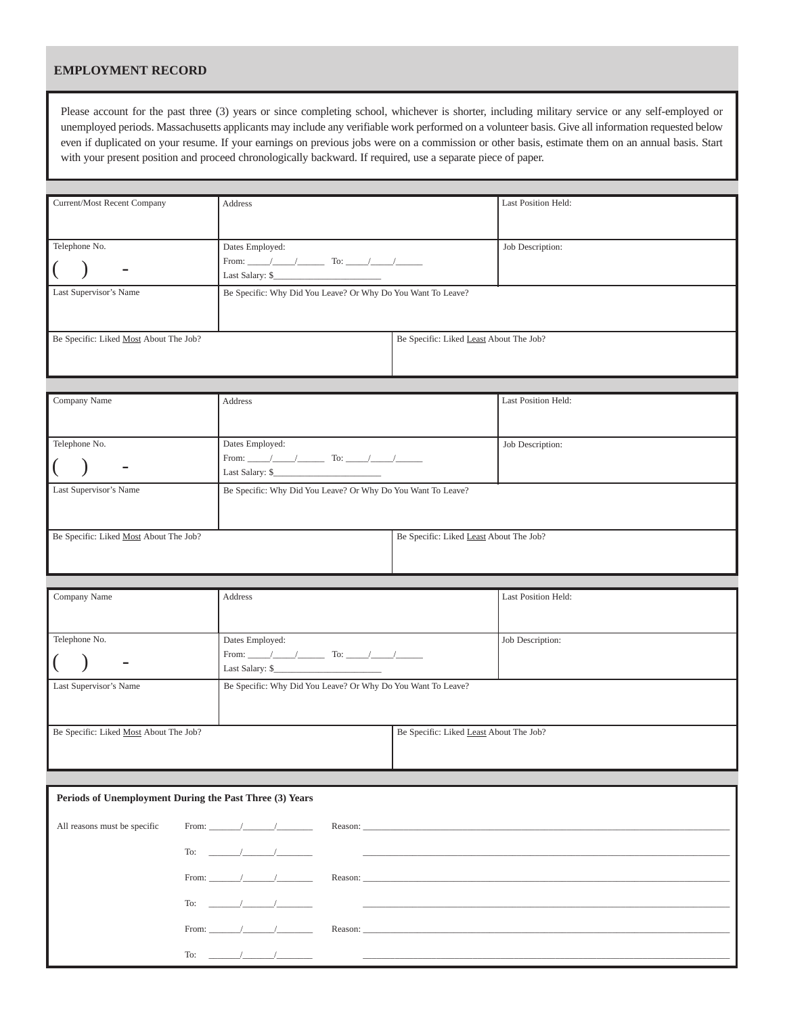#### **EMPLOYMENT RECORD**

Please account for the past three (3) years or since completing school, whichever is shorter, including military service or any self-employed or unemployed periods. Massachusetts applicants may include any verifiable work performed on a volunteer basis. Give all information requested below even if duplicated on your resume. If your earnings on previous jobs were on a commission or other basis, estimate them on an annual basis. Start with your present position and proceed chronologically backward. If required, use a separate piece of paper.

| Current/Most Recent Company                             | Address                                                                                                                                                                                                                                                                                                                                                                                                                                                                                                                                                                                    |                                         | Last Position Held: |
|---------------------------------------------------------|--------------------------------------------------------------------------------------------------------------------------------------------------------------------------------------------------------------------------------------------------------------------------------------------------------------------------------------------------------------------------------------------------------------------------------------------------------------------------------------------------------------------------------------------------------------------------------------------|-----------------------------------------|---------------------|
|                                                         |                                                                                                                                                                                                                                                                                                                                                                                                                                                                                                                                                                                            |                                         |                     |
|                                                         |                                                                                                                                                                                                                                                                                                                                                                                                                                                                                                                                                                                            |                                         |                     |
| Telephone No.                                           | Dates Employed:                                                                                                                                                                                                                                                                                                                                                                                                                                                                                                                                                                            |                                         | Job Description:    |
|                                                         |                                                                                                                                                                                                                                                                                                                                                                                                                                                                                                                                                                                            |                                         |                     |
|                                                         |                                                                                                                                                                                                                                                                                                                                                                                                                                                                                                                                                                                            |                                         |                     |
| Last Supervisor's Name                                  | Be Specific: Why Did You Leave? Or Why Do You Want To Leave?                                                                                                                                                                                                                                                                                                                                                                                                                                                                                                                               |                                         |                     |
|                                                         |                                                                                                                                                                                                                                                                                                                                                                                                                                                                                                                                                                                            |                                         |                     |
|                                                         |                                                                                                                                                                                                                                                                                                                                                                                                                                                                                                                                                                                            |                                         |                     |
| Be Specific: Liked Most About The Job?                  |                                                                                                                                                                                                                                                                                                                                                                                                                                                                                                                                                                                            | Be Specific: Liked Least About The Job? |                     |
|                                                         |                                                                                                                                                                                                                                                                                                                                                                                                                                                                                                                                                                                            |                                         |                     |
|                                                         |                                                                                                                                                                                                                                                                                                                                                                                                                                                                                                                                                                                            |                                         |                     |
|                                                         |                                                                                                                                                                                                                                                                                                                                                                                                                                                                                                                                                                                            |                                         |                     |
| Company Name                                            | Address                                                                                                                                                                                                                                                                                                                                                                                                                                                                                                                                                                                    |                                         | Last Position Held: |
|                                                         |                                                                                                                                                                                                                                                                                                                                                                                                                                                                                                                                                                                            |                                         |                     |
|                                                         |                                                                                                                                                                                                                                                                                                                                                                                                                                                                                                                                                                                            |                                         |                     |
| Telephone No.                                           | Dates Employed:                                                                                                                                                                                                                                                                                                                                                                                                                                                                                                                                                                            |                                         | Job Description:    |
|                                                         |                                                                                                                                                                                                                                                                                                                                                                                                                                                                                                                                                                                            |                                         |                     |
|                                                         | $\textbf{Last Salary: } \text{\S}_{\textcolor{red}{\overline{\textbf{1}}}} \textcolor{red}{\overline{\textbf{1}}}\textcolor{red}{\overline{\textbf{1}}} \textcolor{red}{\overline{\textbf{2}}} \textcolor{red}{\overline{\textbf{2}}} \textcolor{red}{\overline{\textbf{3}}} \textcolor{red}{\overline{\textbf{3}}} \textcolor{red}{\overline{\textbf{4}}} \textcolor{red}{\overline{\textbf{5}}} \textcolor{red}{\overline{\textbf{5}}} \textcolor{red}{\overline{\textbf{4}}} \textcolor{red}{\overline{\textbf{5}}} \textcolor{red}{\overline{\textbf{6}}} \textcolor{red}{\overline{\$ |                                         |                     |
| Last Supervisor's Name                                  | Be Specific: Why Did You Leave? Or Why Do You Want To Leave?                                                                                                                                                                                                                                                                                                                                                                                                                                                                                                                               |                                         |                     |
|                                                         |                                                                                                                                                                                                                                                                                                                                                                                                                                                                                                                                                                                            |                                         |                     |
|                                                         |                                                                                                                                                                                                                                                                                                                                                                                                                                                                                                                                                                                            |                                         |                     |
| Be Specific: Liked Most About The Job?                  |                                                                                                                                                                                                                                                                                                                                                                                                                                                                                                                                                                                            | Be Specific: Liked Least About The Job? |                     |
|                                                         |                                                                                                                                                                                                                                                                                                                                                                                                                                                                                                                                                                                            |                                         |                     |
|                                                         |                                                                                                                                                                                                                                                                                                                                                                                                                                                                                                                                                                                            |                                         |                     |
|                                                         |                                                                                                                                                                                                                                                                                                                                                                                                                                                                                                                                                                                            |                                         |                     |
|                                                         |                                                                                                                                                                                                                                                                                                                                                                                                                                                                                                                                                                                            |                                         |                     |
| Company Name                                            | Address                                                                                                                                                                                                                                                                                                                                                                                                                                                                                                                                                                                    |                                         | Last Position Held: |
|                                                         |                                                                                                                                                                                                                                                                                                                                                                                                                                                                                                                                                                                            |                                         |                     |
|                                                         |                                                                                                                                                                                                                                                                                                                                                                                                                                                                                                                                                                                            |                                         |                     |
| Telephone No.                                           | Dates Employed:                                                                                                                                                                                                                                                                                                                                                                                                                                                                                                                                                                            |                                         | Job Description:    |
|                                                         |                                                                                                                                                                                                                                                                                                                                                                                                                                                                                                                                                                                            |                                         |                     |
|                                                         |                                                                                                                                                                                                                                                                                                                                                                                                                                                                                                                                                                                            |                                         |                     |
| Last Supervisor's Name                                  | Be Specific: Why Did You Leave? Or Why Do You Want To Leave?                                                                                                                                                                                                                                                                                                                                                                                                                                                                                                                               |                                         |                     |
|                                                         |                                                                                                                                                                                                                                                                                                                                                                                                                                                                                                                                                                                            |                                         |                     |
|                                                         |                                                                                                                                                                                                                                                                                                                                                                                                                                                                                                                                                                                            |                                         |                     |
| Be Specific: Liked Most About The Job?                  |                                                                                                                                                                                                                                                                                                                                                                                                                                                                                                                                                                                            | Be Specific: Liked Least About The Job? |                     |
|                                                         |                                                                                                                                                                                                                                                                                                                                                                                                                                                                                                                                                                                            |                                         |                     |
|                                                         |                                                                                                                                                                                                                                                                                                                                                                                                                                                                                                                                                                                            |                                         |                     |
|                                                         |                                                                                                                                                                                                                                                                                                                                                                                                                                                                                                                                                                                            |                                         |                     |
| Periods of Unemployment During the Past Three (3) Years |                                                                                                                                                                                                                                                                                                                                                                                                                                                                                                                                                                                            |                                         |                     |
|                                                         |                                                                                                                                                                                                                                                                                                                                                                                                                                                                                                                                                                                            |                                         |                     |
| All reasons must be specific                            |                                                                                                                                                                                                                                                                                                                                                                                                                                                                                                                                                                                            |                                         |                     |
|                                                         | To: $\sqrt{2\pi}$                                                                                                                                                                                                                                                                                                                                                                                                                                                                                                                                                                          |                                         |                     |
|                                                         |                                                                                                                                                                                                                                                                                                                                                                                                                                                                                                                                                                                            |                                         |                     |
|                                                         |                                                                                                                                                                                                                                                                                                                                                                                                                                                                                                                                                                                            |                                         |                     |
|                                                         |                                                                                                                                                                                                                                                                                                                                                                                                                                                                                                                                                                                            |                                         |                     |
|                                                         | To: $\sqrt{2}$                                                                                                                                                                                                                                                                                                                                                                                                                                                                                                                                                                             |                                         |                     |
|                                                         |                                                                                                                                                                                                                                                                                                                                                                                                                                                                                                                                                                                            |                                         |                     |
|                                                         |                                                                                                                                                                                                                                                                                                                                                                                                                                                                                                                                                                                            |                                         |                     |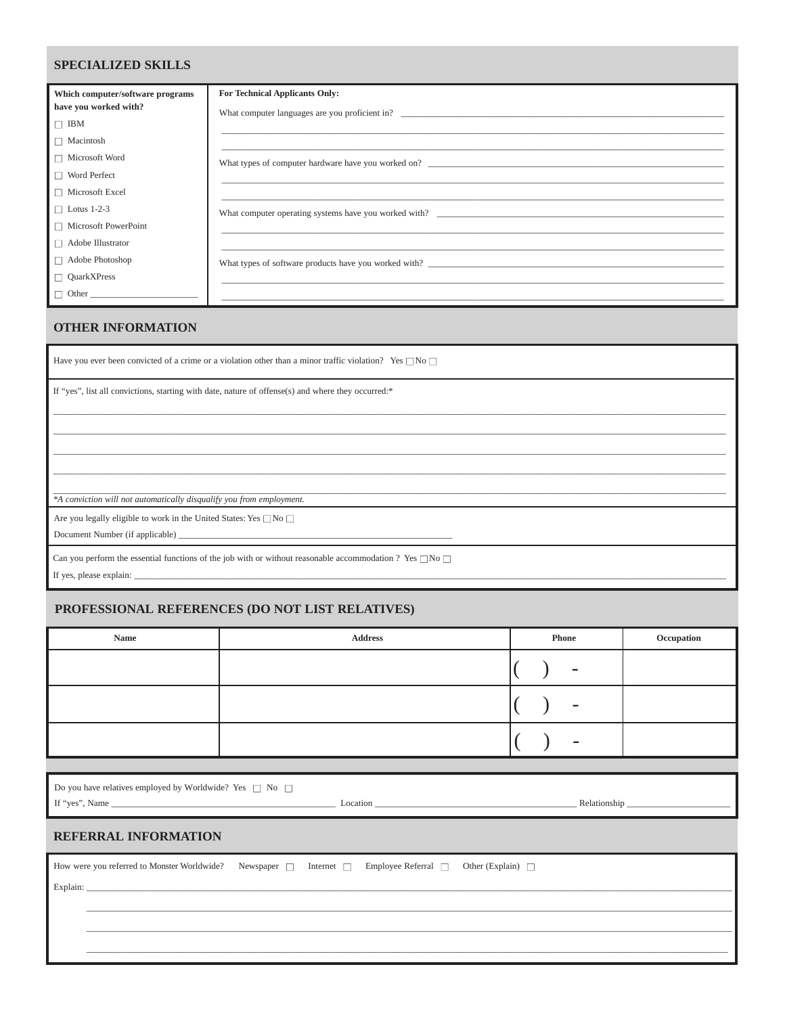### **SPECIALIZED SKILLS**

| Which computer/software programs | <b>For Technical Applicants Only:</b>                                            |
|----------------------------------|----------------------------------------------------------------------------------|
| have you worked with?            |                                                                                  |
| $\Box$ IBM                       | ,我们也不能在这里的时候,我们也不能在这里的时候,我们也不能会在这里,我们也不能会在这里,我们也不能会在这里的时候,我们也不能会在这里的时候,我们也不能会在这里 |
| $\Box$ Macintosh                 | ,我们也不能在这里的时候,我们也不能在这里的时候,我们也不能在这里的时候,我们也不能会在这里的时候,我们也不能会在这里的时候,我们也不能会在这里的时候,我们也不 |
| □ Microsoft Word                 | What types of computer hardware have you worked on?                              |
| $\Box$ Word Perfect              |                                                                                  |
| $\Box$ Microsoft Excel           |                                                                                  |
| $\Box$ Lotus 1-2-3               | What computer operating systems have you worked with?                            |
| $\Box$ Microsoft PowerPoint      |                                                                                  |
| $\Box$ Adobe Illustrator         |                                                                                  |
| $\Box$ Adobe Photoshop           | What types of software products have you worked with?                            |
| $\Box$ QuarkXPress               |                                                                                  |
|                                  |                                                                                  |

#### **OTHER INFORMATION**

Have you ever been convicted of a crime or a violation other than a minor traffic violation? Yes  $\square$  No  $\square$ 

If "yes", list all convictions, starting with date, nature of offense(s) and where they occurred:\*

\*A conviction will not automatically disqualify you from employment.

Are you legally eligible to work in the United States: Yes  $\square$  No  $\square$ 

Document Number (if applicable) \_

Can you perform the essential functions of the job with or without reasonable accommodation ? Yes  $\Box$  No  $\Box$ 

If yes, please explain: \_

#### PROFESSIONAL REFERENCES (DO NOT LIST RELATIVES)

| Occupation |
|------------|
|            |
|            |
|            |
|            |
|            |
|            |
|            |
|            |
|            |
|            |